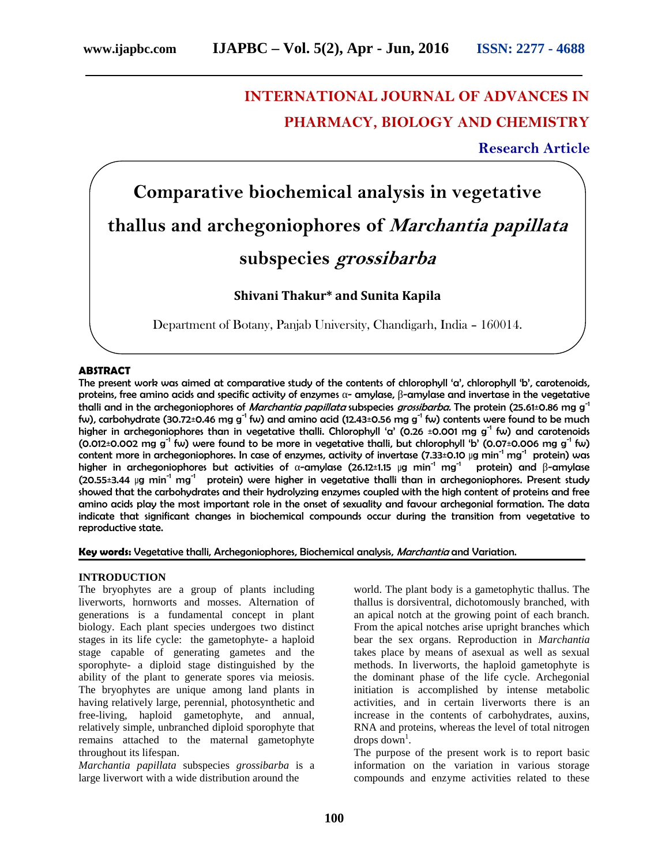# **INTERNATIONAL JOURNAL OF ADVANCES IN PHARMACY, BIOLOGY AND CHEMISTRY**

## **Research Article**

**Comparative biochemical analysis in vegetative thallus and archegoniophores of** *Marchantia papillata* **subspecies** *grossibarba*

**Shivani Thakur\* and Sunita Kapila**

Department of Botany, Panjab University, Chandigarh, India – 160014.

#### **ABSTRACT**

The present work was aimed at comparative study of the contents of chlorophyll 'a', chlorophyll 'b', carotenoids, proteins, free amino acids and specific activity of enzymes - amylase, -amylase and invertase in the vegetative thalli and in the archegoniophores of *Marchantia papillata* subspecies *grossibarba.* The protein (25.61±0.86 mg g-1 fw), carbohydrate (30.72±0.46 mg g<sup>-1</sup> fw) and amino acid (12.43±0.56 mg g<sup>-1</sup> fw) contents were found to be much higher in archegoniophores than in vegetative thalli. Chlorophyll 'a' (0.26 ±0.001 mg g<sup>-1</sup> fw) and carotenoids (0.012±0.002 mg g<sup>-1</sup> fw) were found to be more in vegetative thalli, but chlorophyll 'b' (0.07±0.006 mg g<sup>-1</sup> fw) content more in archegoniophores. In case of enzymes, activity of invertase (7.33±0.10  $\mu$ g min<sup>-1</sup> mg<sup>-1</sup> protein) was higher in archegoniophores but activities of -amylase (26.12±1.15 µg min<sup>-1</sup> mg<sup>-1</sup> protein) and -amylase  $(20.55±3.44 \mu g min<sup>-1</sup> mg<sup>-1</sup>$  protein) were higher in vegetative thalli than in archegoniophores. Present study showed that the carbohydrates and their hydrolyzing enzymes coupled with the high content of proteins and free amino acids play the most important role in the onset of sexuality and favour archegonial formation. The data indicate that significant changes in biochemical compounds occur during the transition from vegetative to reproductive state.

**Key words:** Vegetative thalli, Archegoniophores, Biochemical analysis, *Marchantia* and Variation.

### **INTRODUCTION**

The bryophytes are a group of plants including liverworts, hornworts and mosses. Alternation of generations is a fundamental concept in plant biology. Each plant species undergoes two distinct stages in its life cycle: the gametophyte- a haploid stage capable of generating gametes and the sporophyte- a diploid stage distinguished by the ability of the plant to generate spores via meiosis. The bryophytes are unique among land plants in having relatively large, perennial, photosynthetic and free-living, haploid gametophyte, and annual, relatively simple, unbranched diploid sporophyte that remains attached to the maternal gametophyte throughout its lifespan.

*Marchantia papillata* subspecies *grossibarba* is a large liverwort with a wide distribution around the

world. The plant body is a gametophytic thallus. The thallus is dorsiventral, dichotomously branched, with an apical notch at the growing point of each branch. From the apical notches arise upright branches which bear the sex organs. Reproduction in *Marchantia* takes place by means of asexual as well as sexual methods. In liverworts, the haploid gametophyte is the dominant phase of the life cycle. Archegonial initiation is accomplished by intense metabolic activities, and in certain liverworts there is an increase in the contents of carbohydrates, auxins, RNA and proteins, whereas the level of total nitrogen  $\text{drops down}^1$ .

The purpose of the present work is to report basic information on the variation in various storage compounds and enzyme activities related to these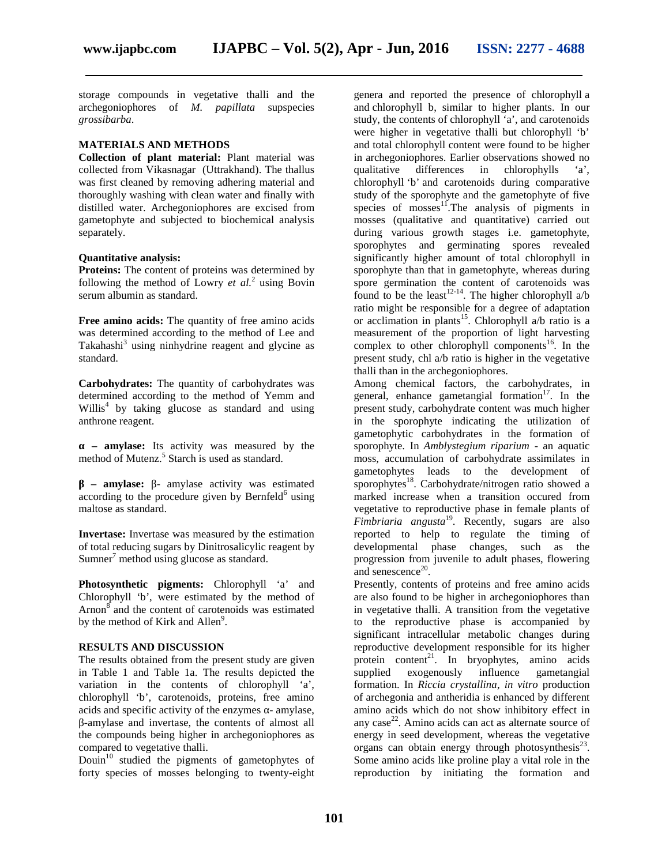storage compounds in vegetative thalli and the archegoniophores of *M. papillata* supspecies *grossibarba*.

### **MATERIALS AND METHODS**

**Collection of plant material:** Plant material was collected from Vikasnagar (Uttrakhand). The thallus was first cleaned by removing adhering material and thoroughly washing with clean water and finally with distilled water. Archegoniophores are excised from gametophyte and subjected to biochemical analysis separately.

#### **Quantitative analysis:**

**Proteins:** The content of proteins was determined by following the method of Lowry *et al.*<sup>2</sup> using Bovin serum albumin as standard.

**Free amino acids:** The quantity of free amino acids was determined according to the method of Lee and Takahashi<sup>3</sup> using ninhydrine reagent and glycine as standard.

**Carbohydrates:** The quantity of carbohydrates was determined according to the method of Yemm and Willis<sup>4</sup> by taking glucose as standard and using anthrone reagent.

**– amylase:** Its activity was measured by the method of Mutenz.<sup>5</sup> Starch is used as standard.

**– amylase:** - amylase activity was estimated according to the procedure given by Bernfeld $<sup>6</sup>$  using</sup> maltose as standard.

**Invertase:** Invertase was measured by the estimation of total reducing sugars by Dinitrosalicylic reagent by  $Sumner<sup>7</sup>$  method using glucose as standard.

**Photosynthetic pigments:** Chlorophyll 'a' and Chlorophyll 'b', were estimated by the method of Arnon<sup>8</sup> and the content of carotenoids was estimated by the method of Kirk and Allen<sup>9</sup>.

#### **RESULTS AND DISCUSSION**

The results obtained from the present study are given in Table 1 and Table 1a. The results depicted the variation in the contents of chlorophyll 'a', chlorophyll 'b', carotenoids, proteins, free amino acids and specific activity of the enzymes - amylase, -amylase and invertase, the contents of almost all the compounds being higher in archegoniophores as compared to vegetative thalli.

Douin<sup>10</sup> studied the pigments of gametophytes of forty species of mosses belonging to twenty-eight genera and reported the presence of chlorophyll a and chlorophyll b, similar to higher plants. In our study, the contents of chlorophyll 'a', and carotenoids were higher in vegetative thalli but chlorophyll 'b' and total chlorophyll content were found to be higher in archegoniophores. Earlier observations showed no qualitative differences in chlorophylls 'a', chlorophyll 'b' and carotenoids during comparative study of the sporophyte and the gametophyte of five species of mosses<sup>11</sup>. The analysis of pigments in mosses (qualitative and quantitative) carried out during various growth stages i.e. gametophyte, sporophytes and germinating spores revealed significantly higher amount of total chlorophyll in sporophyte than that in gametophyte, whereas during spore germination the content of carotenoids was found to be the least  $12-14$ . The higher chlorophyll a/b ratio might be responsible for a degree of adaptation or acclimation in plants<sup>15</sup>. Chlorophyll a/b ratio is a measurement of the proportion of light harvesting complex to other chlorophyll components<sup>16</sup>. In the present study, chl a/b ratio is higher in the vegetative thalli than in the archegoniophores.

Among chemical factors, the carbohydrates, in general, enhance gametangial formation<sup>17</sup>. In the present study, carbohydrate content was much higher in the sporophyte indicating the utilization of gametophytic carbohydrates in the formation of sporophyte. In *Amblystegium riparium* - an aquatic moss, accumulation of carbohydrate assimilates in gametophytes leads to the development of sporophytes<sup>18</sup>. Carbohydrate/nitrogen ratio showed a marked increase when a transition occured from vegetative to reproductive phase in female plants of *Fimbriaria angusta*<sup>19</sup> . Recently, sugars are also reported to help to regulate the timing of developmental phase changes, such as the progression from juvenile to adult phases, flowering and senescence<sup>20</sup>.

Presently, contents of proteins and free amino acids are also found to be higher in archegoniophores than in vegetative thalli. A transition from the vegetative to the reproductive phase is accompanied by significant intracellular metabolic changes during reproductive development responsible for its higher protein content<sup>21</sup>. In bryophytes, amino acids supplied exogenously influence gametangial formation. In *Riccia crystallina*, *in vitro* production of archegonia and antheridia is enhanced by different amino acids which do not show inhibitory effect in any case $^{22}$ . Amino acids can act as alternate source of energy in seed development, whereas the vegetative organs can obtain energy through photosynthesis $^{23}$ . Some amino acids like proline play a vital role in the reproduction by initiating the formation and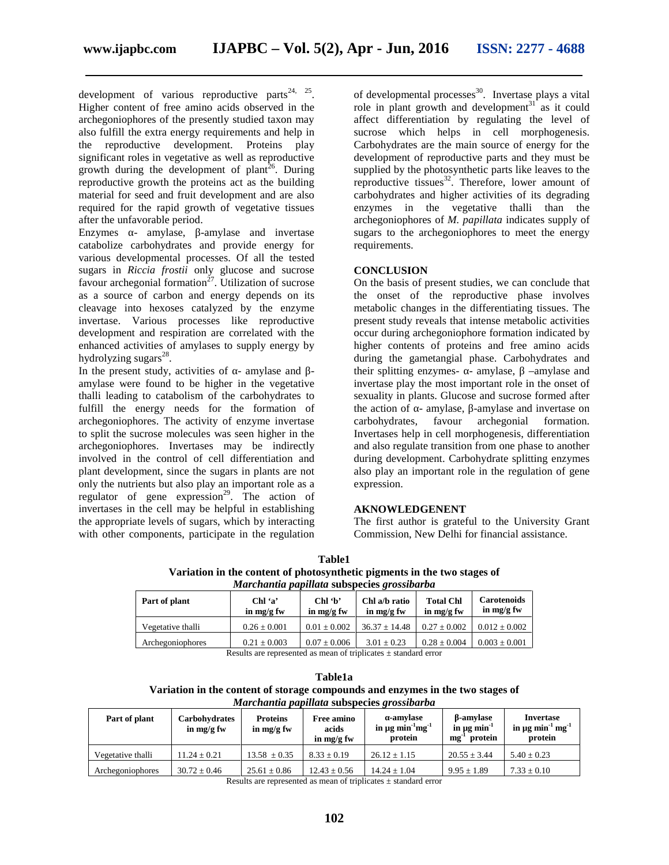development of various reproductive parts<sup>24, 25</sup>. Higher content of free amino acids observed in the archegoniophores of the presently studied taxon may also fulfill the extra energy requirements and help in the reproductive development. Proteins play significant roles in vegetative as well as reproductive growth during the development of plant<sup>26</sup>. During reproductive growth the proteins act as the building material for seed and fruit development and are also required for the rapid growth of vegetative tissues after the unfavorable period.

Enzymes - amylase, -amylase and invertase catabolize carbohydrates and provide energy for various developmental processes. Of all the tested sugars in *Riccia frostii* only glucose and sucrose favour archegonial formation<sup>27</sup>. Utilization of sucrose as a source of carbon and energy depends on its cleavage into hexoses catalyzed by the enzyme invertase. Various processes like reproductive development and respiration are correlated with the enhanced activities of amylases to supply energy by hydrolyzing sugars<sup>28</sup>.

In the present study, activities of - amylase and amylase were found to be higher in the vegetative thalli leading to catabolism of the carbohydrates to fulfill the energy needs for the formation of archegoniophores. The activity of enzyme invertase to split the sucrose molecules was seen higher in the archegoniophores. Invertases may be indirectly involved in the control of cell differentiation and plant development, since the sugars in plants are not only the nutrients but also play an important role as a regulator of gene expression<sup>29</sup>. The action of invertases in the cell may be helpful in establishing the appropriate levels of sugars, which by interacting with other components, participate in the regulation

of developmental processes<sup>30</sup>. Invertase plays a vital role in plant growth and development $31$  as it could affect differentiation by regulating the level of sucrose which helps in cell morphogenesis. Carbohydrates are the main source of energy for the development of reproductive parts and they must be supplied by the photosynthetic parts like leaves to the reproductive tissues $^{32}$ . Therefore, lower amount of carbohydrates and higher activities of its degrading enzymes in the vegetative thalli than the archegoniophores of *M. papillata* indicates supply of sugars to the archegoniophores to meet the energy requirements.

#### **CONCLUSION**

On the basis of present studies, we can conclude that the onset of the reproductive phase involves metabolic changes in the differentiating tissues. The present study reveals that intense metabolic activities occur during archegoniophore formation indicated by higher contents of proteins and free amino acids during the gametangial phase. Carbohydrates and their splitting enzymes- - amylase, -amylase and invertase play the most important role in the onset of sexuality in plants. Glucose and sucrose formed after the action of - amylase, -amylase and invertase on carbohydrates, favour archegonial formation. carbohydrates, favour archegonial formation. Invertases help in cell morphogenesis, differentiation and also regulate transition from one phase to another during development. Carbohydrate splitting enzymes also play an important role in the regulation of gene expression.

#### **AKNOWLEDGENENT**

The first author is grateful to the University Grant Commission, New Delhi for financial assistance.

| Table1                                                                   |
|--------------------------------------------------------------------------|
| Variation in the content of photosynthetic pigments in the two stages of |
| <i>Marchantia papillata subspecies grossibarba</i>                       |

|                                                           |                   | in mg/g fw       | in mg/g fw        |
|-----------------------------------------------------------|-------------------|------------------|-------------------|
| $0.01 \pm 0.002$<br>$0.26 \pm 0.001$<br>Vegetative thalli | $36.37 \pm 14.48$ | $0.27 \pm 0.002$ | $0.012 \pm 0.002$ |
| $0.21 \pm 0.003$<br>$0.07 \pm 0.006$<br>Archegoniophores  | $3.01 \pm 0.23$   | $0.28 \pm 0.004$ | $0.003 \pm 0.001$ |

Results are represented as mean of triplicates  $\pm$  standard error

| Table1a                                                                        |
|--------------------------------------------------------------------------------|
| Variation in the content of storage compounds and enzymes in the two stages of |
| <i>Marchantia papillata subspecies grossibarba</i>                             |

| Part of plant     | <b>Carbohydrates</b><br>in $mg/g$ fw | <b>Proteins</b><br>in $mg/g$ fw | <b>Free amino</b><br>acids<br>in $mg/g$ fw | -amylase<br>in $\mu$ g min <sup>-1</sup> mg <sup>-1</sup><br>protein | -amylase<br>in $\mu$ g min <sup>-1</sup><br>protein<br>mg | Invertase<br>in $\mu$ g min <sup>-1</sup> mg <sup>-1</sup><br>protein |
|-------------------|--------------------------------------|---------------------------------|--------------------------------------------|----------------------------------------------------------------------|-----------------------------------------------------------|-----------------------------------------------------------------------|
| Vegetative thalli | $11.24 + 0.21$                       | $13.58 \pm 0.35$                | $8.33 + 0.19$                              | $26.12 + 1.15$                                                       | $20.55 \pm 3.44$                                          | $5.40 \pm 0.23$                                                       |
| Archegoniophores  | $30.72 \pm 0.46$                     | $25.61 \pm 0.86$                | $12.43 \pm 0.56$                           | $14.24 + 1.04$                                                       | $9.95 \pm 1.89$                                           | $7.33 \pm 0.10$                                                       |

Results are represented as mean of triplicates ± standard error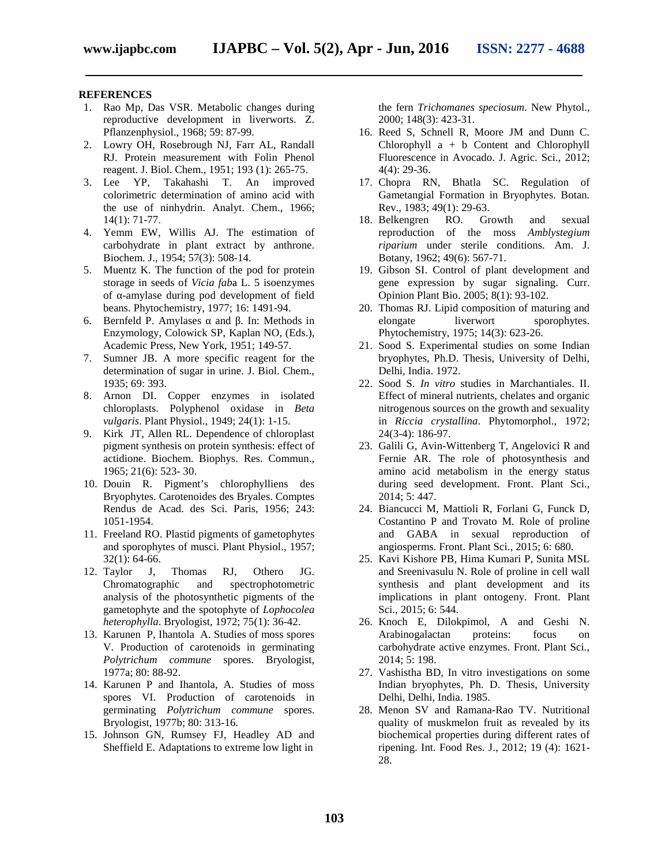#### **REFERENCES**

- 1. Rao Mp, Das VSR. Metabolic changes during reproductive development in liverworts. Z. Pflanzenphysiol., 1968; 59: 87-99.
- 2. Lowry OH, Rosebrough NJ, Farr AL, Randall RJ. Protein measurement with Folin Phenol reagent. J. Biol. Chem., 1951; 193 (1): 265-75.
- 3. Lee YP, Takahashi T. An improved colorimetric determination of amino acid with the use of ninhydrin. Analyt. Chem., 1966; 14(1): 71-77.
- 4. Yemm EW, Willis AJ. The estimation of carbohydrate in plant extract by anthrone. Biochem. J., 1954; 57(3): 508-14.
- 5. Muentz K. The function of the pod for protein storage in seeds of *Vicia fab*a L. 5 isoenzymes of -amylase during pod development of field beans. Phytochemistry, 1977; 16: 1491-94.
- 6. Bernfeld P. Amylases and . In: Methods in Enzymology, Colowick SP, Kaplan NO, (Eds.), Academic Press, New York, 1951; 149-57.
- 7. Sumner JB. A more specific reagent for the determination of sugar in urine. J. Biol. Chem., 1935; 69: 393.
- 8. Arnon DI. Copper enzymes in isolated chloroplasts. Polyphenol oxidase in *Beta vulgaris*. Plant Physiol., 1949; 24(1): 1-15.
- 9. Kirk JT, Allen RL. Dependence of chloroplast pigment synthesis on protein synthesis: effect of actidione. Biochem. Biophys. Res. Commun., 1965; 21(6): 523- 30.
- 10. Douin R. Pigment's chlorophylliens des Bryophytes. Carotenoides des Bryales. Comptes Rendus de Acad. des Sci. Paris, 1956; 243: 1051-1954.
- 11. Freeland RO. Plastid pigments of gametophytes and sporophytes of musci. Plant Physiol., 1957; 32(1): 64-66.
- 12. Taylor J, Thomas RJ, Othero JG. Chromatographic and spectrophotometric analysis of the photosynthetic pigments of the gametophyte and the spotophyte of *Lophocolea heterophylla*. Bryologist, 1972; 75(1): 36-42.
- 13. Karunen P, Ihantola A. Studies of moss spores V. Production of carotenoids in germinating *Polytrichum commune* spores. Bryologist, 1977a; 80: 88-92.
- 14. Karunen P and Ihantola, A. Studies of moss spores VI. Production of carotenoids in germinating *Polytrichum commune* spores. Bryologist, 1977b; 80: 313-16.
- 15. Johnson GN, Rumsey FJ, Headley AD and Sheffield E. Adaptations to extreme low light in

the fern *Trichomanes speciosum*. New Phytol., 2000; 148(3): 423-31.

- 16. Reed S, Schnell R, Moore JM and Dunn C. Chlorophyll a + b Content and Chlorophyll Fluorescence in Avocado. J. Agric. Sci., 2012; 4(4): 29-36.
- 17. Chopra RN, Bhatla SC. Regulation of Gametangial Formation in Bryophytes. Botan. Rev., 1983; 49(1): 29-63.
- 18. Belkengren RO. Growth and sexual reproduction of the moss *Amblystegium riparium* under sterile conditions. Am. J. Botany, 1962; 49(6): 567-71.
- 19. Gibson SI. Control of plant development and gene expression by sugar signaling. Curr. Opinion Plant Bio. 2005; 8(1): 93-102.
- 20. Thomas RJ. Lipid composition of maturing and elongate liverwort sporophytes. Phytochemistry, 1975; 14(3): 623-26.
- 21. Sood S. Experimental studies on some Indian bryophytes, Ph.D. Thesis, University of Delhi, Delhi, India. 1972.
- 22. Sood S. *In vitro* studies in Marchantiales. II. Effect of mineral nutrients, chelates and organic nitrogenous sources on the growth and sexuality in *Riccia crystallina*. Phytomorphol., 1972; 24(3-4): 186-97.
- 23. Galili G, Avin-Wittenberg T, Angelovici R and Fernie AR. The role of photosynthesis and amino acid metabolism in the energy status during seed development. Front. Plant Sci., 2014; 5: 447.
- 24. Biancucci M, Mattioli R, Forlani G, Funck D, Costantino P and Trovato M. Role of proline and GABA in sexual reproduction of angiosperms. Front. Plant Sci., 2015; 6: 680.
- 25. Kavi Kishore PB, Hima Kumari P, Sunita MSL and Sreenivasulu N. Role of proline in cell wall synthesis and plant development and its implications in plant ontogeny. Front. Plant Sci., 2015; 6: 544.
- 26. Knoch E, Dilokpimol, A and Geshi N. Arabinogalactan proteins: focus on carbohydrate active enzymes. Front. Plant Sci., 2014; 5: 198.
- 27. Vashistha BD, In vitro investigations on some Indian bryophytes, Ph. D. Thesis, University Delhi, Delhi, India. 1985.
- 28. Menon SV and Ramana-Rao TV. Nutritional quality of muskmelon fruit as revealed by its biochemical properties during different rates of ripening. Int. Food Res. J., 2012; 19 (4): 1621- 28.